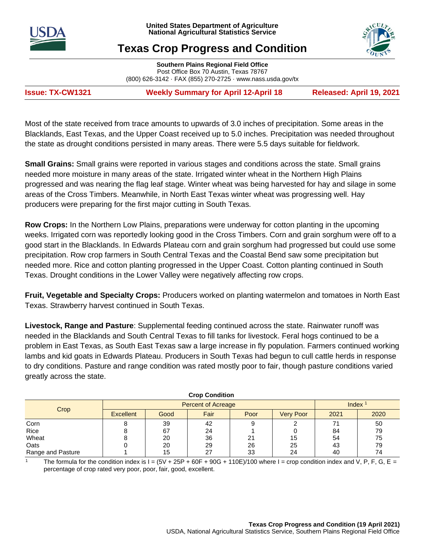



# **Texas Crop Progress and Condition**

**Southern Plains Regional Field Office** Post Office Box 70 Austin, Texas 78767 (800) 626-3142 · FAX (855) 270-2725 · [www.nass.usda.gov/tx](http://www.nass.usda.gov/tx)

**Issue: TX-CW1321 Weekly Summary for April 12-April 18 Released: April 19, 2021**

Most of the state received from trace amounts to upwards of 3.0 inches of precipitation. Some areas in the Blacklands, East Texas, and the Upper Coast received up to 5.0 inches. Precipitation was needed throughout the state as drought conditions persisted in many areas. There were 5.5 days suitable for fieldwork.

**Small Grains:** Small grains were reported in various stages and conditions across the state. Small grains needed more moisture in many areas of the state. Irrigated winter wheat in the Northern High Plains progressed and was nearing the flag leaf stage. Winter wheat was being harvested for hay and silage in some areas of the Cross Timbers. Meanwhile, in North East Texas winter wheat was progressing well. Hay producers were preparing for the first major cutting in South Texas.

**Row Crops:** In the Northern Low Plains, preparations were underway for cotton planting in the upcoming weeks. Irrigated corn was reportedly looking good in the Cross Timbers. Corn and grain sorghum were off to a good start in the Blacklands. In Edwards Plateau corn and grain sorghum had progressed but could use some precipitation. Row crop farmers in South Central Texas and the Coastal Bend saw some precipitation but needed more. Rice and cotton planting progressed in the Upper Coast. Cotton planting continued in South Texas. Drought conditions in the Lower Valley were negatively affecting row crops.

**Fruit, Vegetable and Specialty Crops:** Producers worked on planting watermelon and tomatoes in North East Texas. Strawberry harvest continued in South Texas.

**Livestock, Range and Pasture**: Supplemental feeding continued across the state. Rainwater runoff was needed in the Blacklands and South Central Texas to fill tanks for livestock. Feral hogs continued to be a problem in East Texas, as South East Texas saw a large increase in fly population. Farmers continued working lambs and kid goats in Edwards Plateau. Producers in South Texas had begun to cull cattle herds in response to dry conditions. Pasture and range condition was rated mostly poor to fair, though pasture conditions varied greatly across the state.

| <b>Urop Condition</b> |                  |                           |                    |      |                  |      |      |
|-----------------------|------------------|---------------------------|--------------------|------|------------------|------|------|
| Crop                  |                  | <b>Percent of Acreage</b> | Index <sup>1</sup> |      |                  |      |      |
|                       | <b>Excellent</b> | Good                      | Fair               | Poor | <b>Very Poor</b> | 2021 | 2020 |
| Corn                  |                  | 39                        | 42                 |      |                  | 71   | 50   |
| Rice                  |                  | 67                        | 24                 |      |                  | 84   | 79   |
| Wheat                 |                  | 20                        | 36                 | 21   | 15               | 54   | 75   |
| Oats                  |                  | 20                        | 29                 | 26   | 25               | 43   | 79   |
| Range and Pasture     |                  | 15                        | 27                 | 33   | 24               | 40   | 74   |

**Crop Condition**

The formula for the condition index is  $I = (5V + 25P + 60F + 90G + 110E)/100$  where  $I =$  crop condition index and V, P, F, G, E = percentage of crop rated very poor, poor, fair, good, excellent.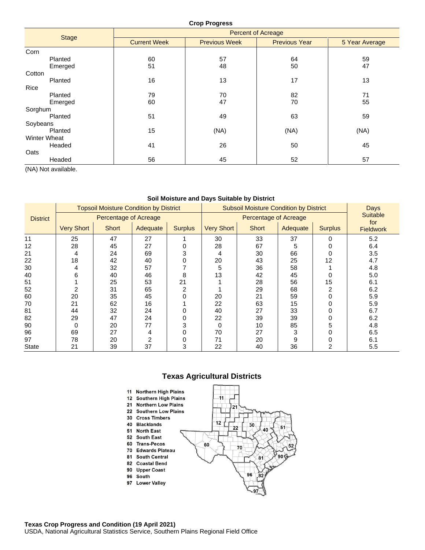### **Crop Progress**

|                     | <b>Percent of Acreage</b> |                      |                      |                |  |  |  |  |
|---------------------|---------------------------|----------------------|----------------------|----------------|--|--|--|--|
| <b>Stage</b>        | <b>Current Week</b>       | <b>Previous Week</b> | <b>Previous Year</b> | 5 Year Average |  |  |  |  |
| Corn                |                           |                      |                      |                |  |  |  |  |
| Planted             | 60                        | 57                   | 64                   | 59             |  |  |  |  |
| Emerged             | 51                        | 48                   | 50                   | 47             |  |  |  |  |
| Cotton              |                           |                      |                      |                |  |  |  |  |
| Planted             | 16                        | 13                   | 17                   | 13             |  |  |  |  |
| Rice                |                           |                      |                      |                |  |  |  |  |
| Planted             | 79                        | 70                   | 82                   | 71             |  |  |  |  |
| Emerged             | 60                        | 47                   | 70                   | 55             |  |  |  |  |
| Sorghum             |                           |                      |                      |                |  |  |  |  |
| Planted             | 51                        | 49                   | 63                   | 59             |  |  |  |  |
| Soybeans            |                           |                      |                      |                |  |  |  |  |
| Planted             | 15                        | (NA)                 | (NA)                 | (NA)           |  |  |  |  |
| <b>Winter Wheat</b> |                           |                      |                      |                |  |  |  |  |
| Headed              | 41                        | 26                   | 50                   | 45             |  |  |  |  |
| Oats                |                           |                      |                      |                |  |  |  |  |
| Headed              | 56                        | 45                   | 52                   | 57             |  |  |  |  |

(NA) Not available.

#### **Soil Moisture and Days Suitable by District**

|                 |                              | <b>Topsoil Moisture Condition by District</b> |          |                | <b>Subsoil Moisture Condition by District</b> |                              |          |                | Days<br><b>Suitable</b> |  |
|-----------------|------------------------------|-----------------------------------------------|----------|----------------|-----------------------------------------------|------------------------------|----------|----------------|-------------------------|--|
| <b>District</b> | <b>Percentage of Acreage</b> |                                               |          |                |                                               | <b>Percentage of Acreage</b> |          |                |                         |  |
|                 | <b>Very Short</b>            | <b>Short</b>                                  | Adequate | <b>Surplus</b> | <b>Very Short</b>                             | <b>Short</b>                 | Adequate | <b>Surplus</b> | for<br><b>Fieldwork</b> |  |
| 11              | 25                           | 47                                            | 27       |                | 30                                            | 33                           | 37       | O              | 5.2                     |  |
| 12              | 28                           | 45                                            | 27       |                | 28                                            | 67                           | 5        |                | 6.4                     |  |
| 21              | 4                            | 24                                            | 69       | 3              |                                               | 30                           | 66       |                | 3.5                     |  |
| 22              | 18                           | 42                                            | 40       | 0              | 20                                            | 43                           | 25       | 12             | 4.7                     |  |
| 30              | 4                            | 32                                            | 57       |                | 5                                             | 36                           | 58       |                | 4.8                     |  |
| 40              | 6                            | 40                                            | 46       | 8              | 13                                            | 42                           | 45       |                | 5.0                     |  |
| 51              |                              | 25                                            | 53       | 21             |                                               | 28                           | 56       | 15             | 6.1                     |  |
| 52              |                              | 31                                            | 65       | $\mathfrak{p}$ |                                               | 29                           | 68       |                | 6.2                     |  |
| 60              | 20                           | 35                                            | 45       | 0              | 20                                            | 21                           | 59       |                | 5.9                     |  |
| 70              | 21                           | 62                                            | 16       |                | 22                                            | 63                           | 15       |                | 5.9                     |  |
| 81              | 44                           | 32                                            | 24       |                | 40                                            | 27                           | 33       |                | 6.7                     |  |
| 82              | 29                           | 47                                            | 24       |                | 22                                            | 39                           | 39       |                | 6.2                     |  |
| 90              | 0                            | 20                                            | 77       | 3              | O                                             | 10                           | 85       |                | 4.8                     |  |
| 96              | 69                           | 27                                            | 4        |                | 70                                            | 27                           | 3        |                | 6.5                     |  |
| 97              | 78                           | 20                                            | 2        | 0              | 71                                            | 20                           | 9        |                | 6.1                     |  |
| <b>State</b>    | 21                           | 39                                            | 37       | 3              | 22                                            | 40                           | 36       |                | 5.5                     |  |

# **Texas Agricultural Districts**